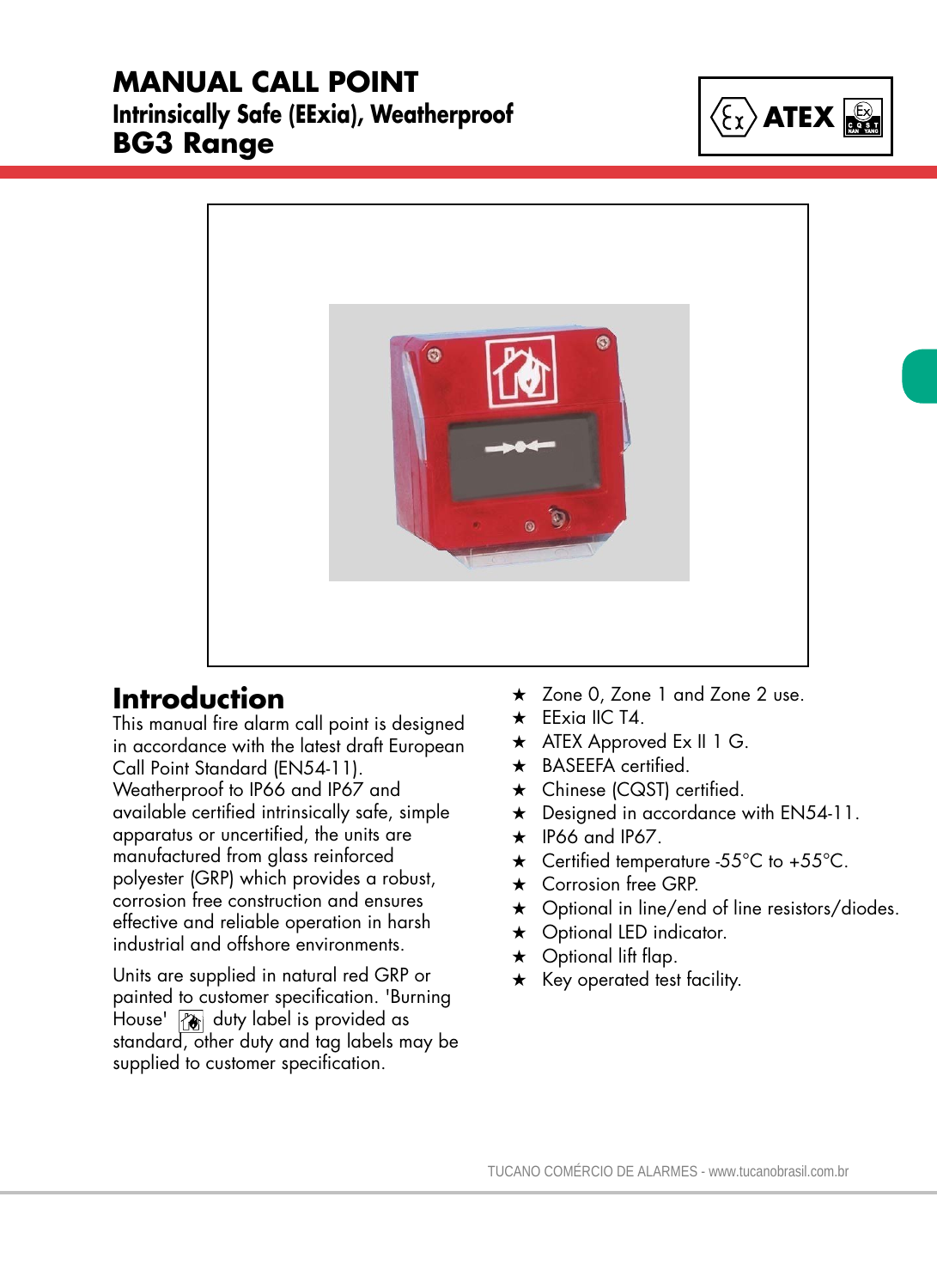### **MANUAL CALL POINT Intrinsically Safe (EExia), Weatherproof BG3 Range**





# **Introduction**

This manual fire alarm call point is designed in accordance with the latest draft European Call Point Standard (EN54-11). Weatherproof to IP66 and IP67 and available certified intrinsically safe, simple apparatus or uncertified, the units are manufactured from glass reinforced polyester (GRP) which provides a robust, corrosion free construction and ensures effective and reliable operation in harsh industrial and offshore environments.

Units are supplied in natural red GRP or painted to customer specification. 'Burning House' **a** duty label is provided as standard, other duty and tag labels may be supplied to customer specification.

Sales Enq. Fax: +44 (0)1773 582830 Sales Orders Fax: +44 (0)1773 582832

- ★ Zone 0, Zone 1 and Zone 2 use.
- $\star$  EExia IIC T4.
- $\star$  ATEX Approved Ex II 1 G.
- $\star$  BASEEFA certified.
- $\star$  Chinese (CQST) certified.
- $\star$  Designed in accordance with EN54-11.
- $\star$  IP66 and IP67.
- $\star$  Certified temperature -55°C to +55°C.
- $\star$  Corrosion free GRP.
- $\star$  Optional in line/end of line resistors/diodes.
- $\star$  Optional LED indicator.
- $\star$  Optional lift flap.
- $\star$  Key operated test facility.